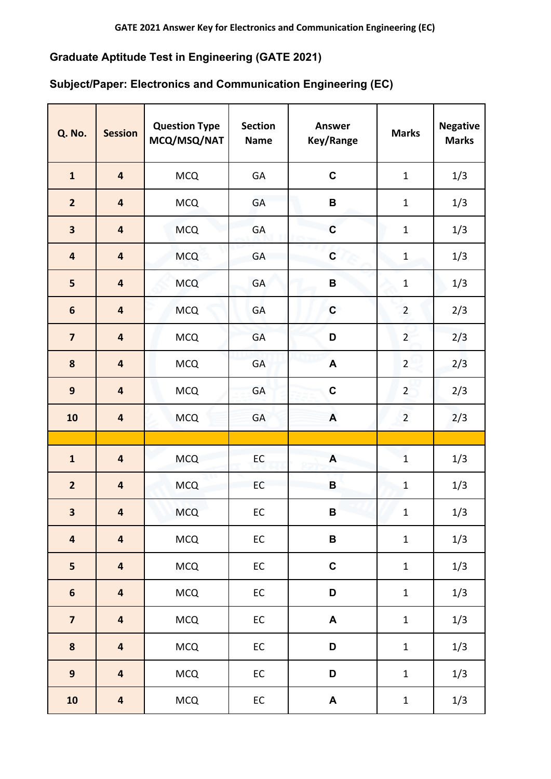## **Graduate Aptitude Test in Engineering (GATE 2021)**

## **Subject/Paper: Electronics and Communication Engineering (EC)**

| Q. No.                  | <b>Session</b>          | <b>Question Type</b><br>MCQ/MSQ/NAT | <b>Section</b><br><b>Name</b> | <b>Answer</b><br>Key/Range | <b>Marks</b>   | <b>Negative</b><br><b>Marks</b> |
|-------------------------|-------------------------|-------------------------------------|-------------------------------|----------------------------|----------------|---------------------------------|
| $\mathbf{1}$            | $\overline{\mathbf{4}}$ | <b>MCQ</b>                          | GA                            | $\mathbf C$                | $\mathbf{1}$   | 1/3                             |
| $\overline{2}$          | $\overline{\mathbf{4}}$ | <b>MCQ</b>                          | GA                            | B                          | $\mathbf{1}$   | 1/3                             |
| 3                       | $\overline{\mathbf{4}}$ | <b>MCQ</b>                          | GA                            | $\mathbf C$                | $\mathbf 1$    | 1/3                             |
| $\overline{\mathbf{r}}$ | $\overline{\mathbf{4}}$ | <b>MCQ</b>                          | GA                            | $\mathbf C$                | $\mathbf 1$    | 1/3                             |
| 5                       | $\overline{\mathbf{4}}$ | <b>MCQ</b>                          | GA                            | B                          | $\mathbf 1$    | 1/3                             |
| $6\phantom{1}6$         | $\overline{\mathbf{4}}$ | <b>MCQ</b>                          | GA                            | $\mathbf C$                | $\overline{2}$ | 2/3                             |
| $\overline{\mathbf{z}}$ | $\overline{\mathbf{4}}$ | <b>MCQ</b>                          | GA                            | D                          | $\overline{2}$ | 2/3                             |
| 8                       | $\overline{\mathbf{4}}$ | <b>MCQ</b>                          | GA                            | A                          | $\overline{2}$ | 2/3                             |
| 9                       | $\overline{\mathbf{4}}$ | <b>MCQ</b>                          | GA                            | $\mathbf C$                | $\overline{2}$ | 2/3                             |
| 10                      | $\overline{\mathbf{4}}$ | <b>MCQ</b>                          | GA                            | $\boldsymbol{\mathsf{A}}$  | $\overline{2}$ | 2/3                             |
|                         |                         |                                     |                               |                            |                |                                 |
| $\mathbf{1}$            | $\overline{\mathbf{4}}$ | <b>MCQ</b>                          | EC                            | A                          | $\mathbf{1}$   | 1/3                             |
| $\overline{2}$          | $\overline{\mathbf{4}}$ | <b>MCQ</b>                          | EC                            | B                          | $\mathbf{1}$   | 1/3                             |
| 3                       | $\overline{\mathbf{4}}$ | <b>MCQ</b>                          | EC                            | B                          | $\mathbf{1}$   | 1/3                             |
| $\overline{\mathbf{r}}$ | $\overline{\mathbf{4}}$ | MCQ                                 | ${\sf EC}$                    | B                          | $\mathbf 1$    | 1/3                             |
| 5                       | $\overline{\mathbf{4}}$ | <b>MCQ</b>                          | EC                            | $\mathbf C$                | $\mathbf 1$    | 1/3                             |
| $\boldsymbol{6}$        | $\overline{\mathbf{4}}$ | <b>MCQ</b>                          | EC                            | D                          | $\mathbf 1$    | 1/3                             |
| $\overline{\mathbf{z}}$ | $\overline{\mathbf{4}}$ | MCQ                                 | ${\sf EC}$                    | $\blacktriangle$           | $\mathbf{1}$   | 1/3                             |
| 8                       | $\overline{\mathbf{4}}$ | <b>MCQ</b>                          | EC                            | D                          | $\mathbf 1$    | 1/3                             |
| $\overline{9}$          | $\overline{\mathbf{4}}$ | MCQ                                 | ${\sf EC}$                    | D                          | $\mathbf 1$    | 1/3                             |
| 10                      | $\overline{\mathbf{4}}$ | <b>MCQ</b>                          | ${\sf EC}$                    | $\blacktriangle$           | $\mathbf 1$    | 1/3                             |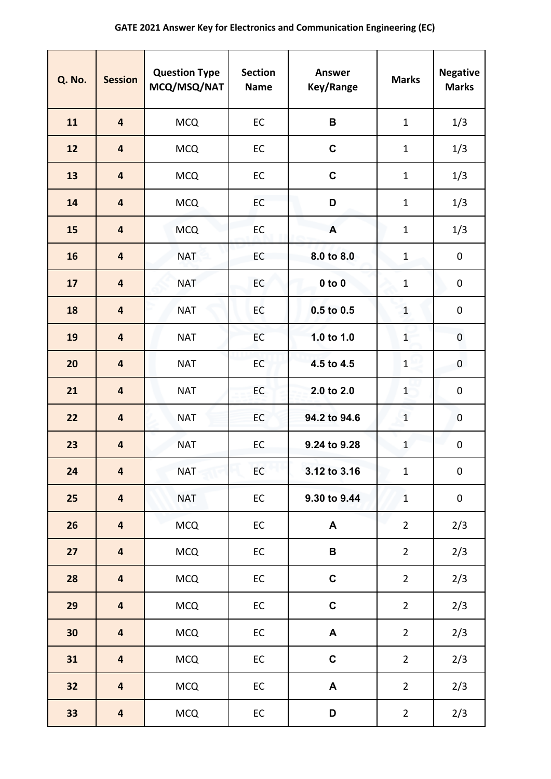| Q. No. | <b>Session</b>          | <b>Question Type</b><br>MCQ/MSQ/NAT | <b>Section</b><br><b>Name</b> | <b>Answer</b><br>Key/Range | <b>Marks</b>   | <b>Negative</b><br><b>Marks</b> |
|--------|-------------------------|-------------------------------------|-------------------------------|----------------------------|----------------|---------------------------------|
| 11     | $\overline{\mathbf{4}}$ | <b>MCQ</b>                          | EC                            | $\mathbf B$                | $\mathbf{1}$   | 1/3                             |
| 12     | $\overline{\mathbf{4}}$ | <b>MCQ</b>                          | EC                            | $\mathbf C$                | $\mathbf{1}$   | 1/3                             |
| 13     | $\overline{\mathbf{4}}$ | <b>MCQ</b>                          | EC                            | $\mathbf C$                | $\mathbf{1}$   | 1/3                             |
| 14     | 4                       | <b>MCQ</b>                          | EC                            | D                          | $\mathbf{1}$   | 1/3                             |
| 15     | 4                       | <b>MCQ</b>                          | EC                            | A                          | $\mathbf{1}$   | 1/3                             |
| 16     | $\overline{\mathbf{4}}$ | <b>NAT</b>                          | EC                            | 8.0 to 8.0                 | $\mathbf{1}$   | $\pmb{0}$                       |
| 17     | $\overline{\mathbf{4}}$ | <b>NAT</b>                          | EC                            | $0$ to $0$                 | $\mathbf{1}$   | $\pmb{0}$                       |
| 18     | $\overline{\mathbf{4}}$ | <b>NAT</b>                          | EC                            | 0.5 to 0.5                 | $\mathbf{1}$   | $\pmb{0}$                       |
| 19     | $\overline{\mathbf{4}}$ | <b>NAT</b>                          | EC                            | 1.0 to 1.0                 | $\overline{1}$ | 0                               |
| 20     | 4                       | <b>NAT</b>                          | EC                            | 4.5 to 4.5                 | $\mathbf{1}$   | 0                               |
| 21     | 4                       | <b>NAT</b>                          | EC                            | 2.0 to 2.0                 | $\mathbf{1}$   | $\pmb{0}$                       |
| 22     | $\overline{\mathbf{4}}$ | <b>NAT</b>                          | EC                            | 94.2 to 94.6               | $\mathbf{1}$   | $\mathbf 0$                     |
| 23     | $\overline{\mathbf{4}}$ | <b>NAT</b>                          | EC                            | 9.24 to 9.28               | $\mathbf{1}$   | $\pmb{0}$                       |
| 24     | $\overline{\mathbf{4}}$ | <b>NAT</b>                          | EC                            | 3.12 to 3.16               | $\mathbf{1}$   | $\pmb{0}$                       |
| 25     | $\overline{\mathbf{4}}$ | <b>NAT</b>                          | EC                            | 9.30 to 9.44               | $\mathbf{1}$   | $\pmb{0}$                       |
| 26     | $\overline{\mathbf{4}}$ | <b>MCQ</b>                          | EC                            | A                          | $\overline{2}$ | 2/3                             |
| 27     | $\overline{\mathbf{4}}$ | <b>MCQ</b>                          | EC                            | $\, {\bf B}$               | $\overline{2}$ | 2/3                             |
| 28     | $\overline{\mathbf{4}}$ | <b>MCQ</b>                          | EC                            | $\mathbf C$                | $\overline{2}$ | 2/3                             |
| 29     | $\overline{\mathbf{4}}$ | <b>MCQ</b>                          | $\mathsf{EC}$                 | $\mathbf C$                | $\overline{2}$ | 2/3                             |
| 30     | $\overline{\mathbf{4}}$ | <b>MCQ</b>                          | EC                            | A                          | $\overline{2}$ | 2/3                             |
| 31     | $\overline{\mathbf{4}}$ | <b>MCQ</b>                          | EC                            | $\mathbf C$                | $\overline{2}$ | 2/3                             |
| 32     | $\overline{\mathbf{4}}$ | <b>MCQ</b>                          | EC                            | A                          | $\overline{2}$ | 2/3                             |
| 33     | $\overline{\mathbf{4}}$ | <b>MCQ</b>                          | EC                            | D                          | $\overline{2}$ | 2/3                             |